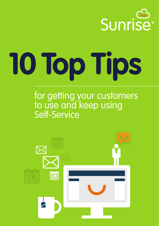

# **10 Top Tips**

# for getting your customers to use and keep using Self-Service